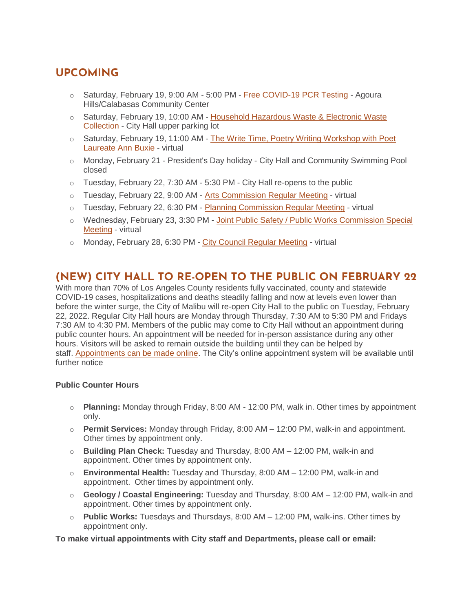# **UPCOMING**

- o Saturday, February 19, 9:00 AM 5:00 PM [Free COVID-19 PCR Testing](https://lablinqportal.com/PatientSignup.aspx?LabId=451) Agoura Hills/Calabasas Community Center
- o Saturday, February 19, 10:00 AM [Household Hazardous Waste & Electronic Waste](https://www.malibucity.org/Calendar.aspx?EID=6102&month=2&year=2022&day=19&calType=0)  [Collection](https://www.malibucity.org/Calendar.aspx?EID=6102&month=2&year=2022&day=19&calType=0) - City Hall upper parking lot
- $\circ$  Saturday, February 19, 11:00 AM The Write Time, Poetry Writing Workshop with Poet [Laureate Ann Buxie](https://www.malibucity.org/Calendar.aspx?EID=6404&month=2&year=2022&day=19&calType=0) - virtual
- $\circ$  Monday, February 21 President's Day holiday City Hall and Community Swimming Pool closed
- o Tuesday, February 22, 7:30 AM 5:30 PM City Hall re-opens to the public
- o Tuesday, February 22, 9:00 AM [Arts Commission Regular Meeting](https://malibucity.org/Calendar.aspx?EID=6279&month=2&year=2022&day=22&calType=0) virtual
- $\circ$  Tuesday, February 22, 6:30 PM [Planning Commission Regular Meeting](https://malibucity.org/Calendar.aspx?EID=6343&month=2&year=2022&day=22&calType=0) virtual
- o Wednesday, February 23, 3:30 PM [Joint Public Safety / Public Works Commission Special](https://www.malibucity.org/AgendaCenter/ViewFile/Agenda/_02232022-1850)  [Meeting](https://www.malibucity.org/AgendaCenter/ViewFile/Agenda/_02232022-1850) - virtual
- o Monday, February 28, 6:30 PM [City Council Regular Meeting](https://malibucity.org/Calendar.aspx?EID=6319&month=2&year=2022&day=28&calType=0) virtual

## **(NEW) CITY HALL TO RE-OPEN TO THE PUBLIC ON FEBRUARY 22**

With more than 70% of Los Angeles County residents fully vaccinated, county and statewide COVID-19 cases, hospitalizations and deaths steadily falling and now at levels even lower than before the winter surge, the City of Malibu will re-open City Hall to the public on Tuesday, February 22, 2022. Regular City Hall hours are Monday through Thursday, 7:30 AM to 5:30 PM and Fridays 7:30 AM to 4:30 PM. Members of the public may come to City Hall without an appointment during public counter hours. An appointment will be needed for in-person assistance during any other hours. Visitors will be asked to remain outside the building until they can be helped by staff. [Appointments can be made online.](http://www.malibucity.org/appointments) The City's online appointment system will be available until further notice

#### **Public Counter Hours**

- o **Planning:** Monday through Friday, 8:00 AM 12:00 PM, walk in. Other times by appointment only.
- o **Permit Services:** Monday through Friday, 8:00 AM 12:00 PM, walk-in and appointment. Other times by appointment only.
- o **Building Plan Check:** Tuesday and Thursday, 8:00 AM 12:00 PM, walk-in and appointment. Other times by appointment only.
- o **Environmental Health:** Tuesday and Thursday, 8:00 AM 12:00 PM, walk-in and appointment. Other times by appointment only.
- o **Geology / Coastal Engineering:** Tuesday and Thursday, 8:00 AM 12:00 PM, walk-in and appointment. Other times by appointment only.
- o **Public Works:** Tuesdays and Thursdays, 8:00 AM 12:00 PM, walk-ins. Other times by appointment only.

**To make virtual appointments with City staff and Departments, please call or email:**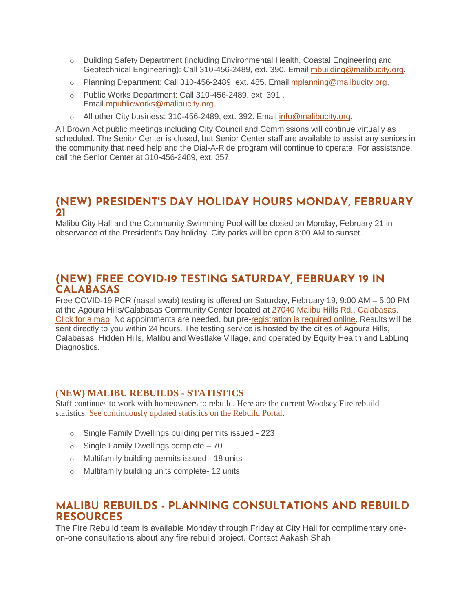- o Building Safety Department (including Environmental Health, Coastal Engineering and Geotechnical Engineering): Call 310-456-2489, ext. 390. Email [mbuilding@malibucity.org.](mailto:mbuilding@malibucity.org)
- o Planning Department: Call 310-456-2489, ext. 485. Email [mplanning@malibucity.org.](mailto:mplanning@malibucity.org)
- o Public Works Department: Call 310-456-2489, ext. 391 . Email [mpublicworks@malibucity.org.](mailto:mpublicworks@malibucity.org)
- o All other City business: 310-456-2489, ext. 392. Email [info@malibucity.org.](mailto:info@malibucity.org)

All Brown Act public meetings including City Council and Commissions will continue virtually as scheduled. The Senior Center is closed, but Senior Center staff are available to assist any seniors in the community that need help and the Dial-A-Ride program will continue to operate. For assistance, call the Senior Center at 310-456-2489, ext. 357.

### **(NEW) PRESIDENT'S DAY HOLIDAY HOURS MONDAY, FEBRUARY 21**

Malibu City Hall and the Community Swimming Pool will be closed on Monday, February 21 in observance of the President's Day holiday. City parks will be open 8:00 AM to sunset.

### **(NEW) FREE COVID-19 TESTING SATURDAY, FEBRUARY 19 IN CALABASAS**

Free COVID-19 PCR (nasal swab) testing is offered on Saturday, February 19, 9:00 AM – 5:00 PM at the Agoura Hills/Calabasas Community Center located at [27040 Malibu Hills Rd.,](https://goo.gl/maps/fAvYKe5WCXZBurzn8) Calabasas. [Click for a map.](https://goo.gl/maps/fAvYKe5WCXZBurzn8) No appointments are needed, but pre[-registration is required online.](https://lablinqportal.com/PatientSignup.aspx?LabId=451) Results will be sent directly to you within 24 hours. The testing service is hosted by the cities of Agoura Hills, Calabasas, Hidden Hills, Malibu and Westlake Village, and operated by Equity Health and LabLinq Diagnostics.

#### **(NEW) MALIBU REBUILDS - STATISTICS**

Staff continues to work with homeowners to rebuild. Here are the current Woolsey Fire rebuild statistics. See [continuously](https://malibupermits.ci.malibu.ca.us/WoolseyRebuildStats.aspx?returnId=901) updated statistics on the Rebuild Portal.

- o Single Family Dwellings building permits issued 223
- o Single Family Dwellings complete 70
- o Multifamily building permits issued 18 units
- o Multifamily building units complete- 12 units

### **MALIBU REBUILDS - PLANNING CONSULTATIONS AND REBUILD RESOURCES**

The Fire Rebuild team is available Monday through Friday at City Hall for complimentary oneon-one consultations about any fire rebuild project. Contact Aakash Shah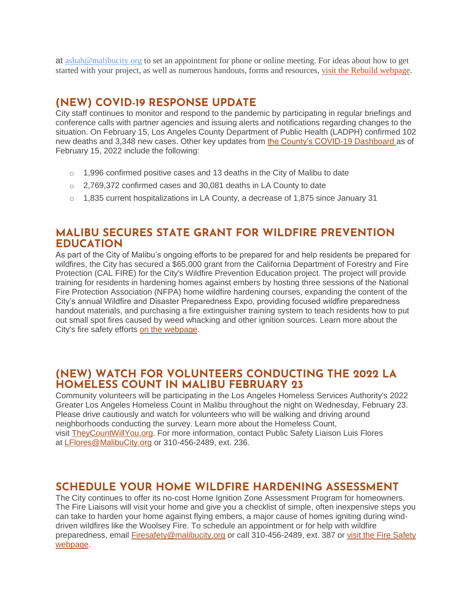at [ashah@malibucity.org](mailto:ashah@malibucity.org) to set an appointment for phone or online meeting. For ideas about how to get started with your project, as well as numerous handouts, forms and resources, visit the Rebuild [webpage.](https://www.malibucity.org/901/Malibu-Rebuilds)

### **(NEW) COVID-19 RESPONSE UPDATE**

City staff continues to monitor and respond to the pandemic by participating in regular briefings and conference calls with partner agencies and issuing alerts and notifications regarding changes to the situation. On February 15, Los Angeles County Department of Public Health (LADPH) confirmed 102 new deaths and 3,348 new cases. Other key updates from [the County's COVID-19 Dashboard](http://publichealth.lacounty.gov/media/coronavirus/data/index.htm) as of February 15, 2022 include the following:

- $\circ$  1,996 confirmed positive cases and 13 deaths in the City of Malibu to date
- o 2,769,372 confirmed cases and 30,081 deaths in LA County to date
- $\circ$  1,835 current hospitalizations in LA County, a decrease of 1,875 since January 31

### **MALIBU SECURES STATE GRANT FOR WILDFIRE PREVENTION EDUCATION**

As part of the City of Malibu's ongoing efforts to be prepared for and help residents be prepared for wildfires, the City has secured a \$65,000 grant from the California Department of Forestry and Fire Protection (CAL FIRE) for the City's Wildfire Prevention Education project. The project will provide training for residents in hardening homes against embers by hosting three sessions of the National Fire Protection Association (NFPA) home wildfire hardening courses, expanding the content of the City's annual Wildfire and Disaster Preparedness Expo, providing focused wildfire preparedness handout materials, and purchasing a fire extinguisher training system to teach residents how to put out small spot fires caused by weed whacking and other ignition sources. Learn more about the City's fire safety efforts [on the webpage.](http://www.malibucity.org/FireSafety)

### **(NEW) WATCH FOR VOLUNTEERS CONDUCTING THE 2022 LA HOMELESS COUNT IN MALIBU FEBRUARY 23**

Community volunteers will be participating in the Los Angeles Homeless Services Authority's 2022 Greater Los Angeles Homeless Count in Malibu throughout the night on Wednesday, February 23. Please drive cautiously and watch for volunteers who will be walking and driving around neighborhoods conducting the survey. Learn more about the Homeless Count, visit [TheyCountWillYou.org.](https://www.theycountwillyou.org/) For more information, contact Public Safety Liaison Luis Flores at [LFlores@MalibuCity.org](mailto:LFlores@MalibuCity.org) or 310-456-2489, ext. 236.

### **SCHEDULE YOUR HOME WILDFIRE HARDENING ASSESSMENT**

The City continues to offer its no-cost Home Ignition Zone Assessment Program for homeowners. The Fire Liaisons will visit your home and give you a checklist of simple, often inexpensive steps you can take to harden your home against flying embers, a major cause of homes igniting during winddriven wildfires like the Woolsey Fire. To schedule an appointment or for help with wildfire preparedness, email [Firesafety@malibucity.org](mailto:Firesafety@malibucity.org) or call 310-456-2489, ext. 387 or visit the Fire Safety [webpage.](https://www.malibucity.org/firesafety)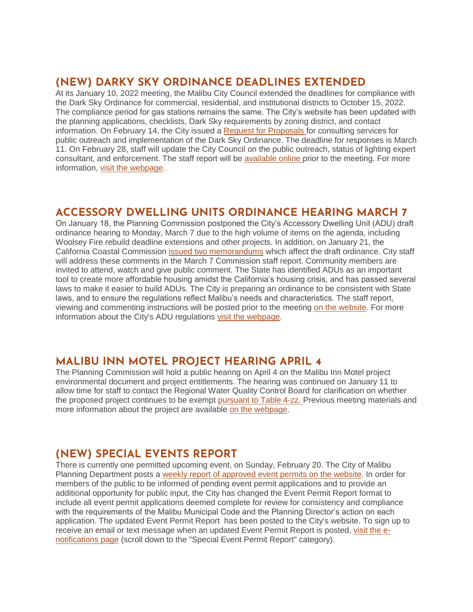### **(NEW) DARKY SKY ORDINANCE DEADLINES EXTENDED**

At its January 10, 2022 meeting, the Malibu City Council extended the deadlines for compliance with the Dark Sky Ordinance for commercial, residential, and institutional districts to October 15, 2022. The compliance period for gas stations remains the same. The City's website has been updated with the planning applications, checklists, Dark Sky requirements by zoning district, and contact information. On February 14, the City issued a [Request for Proposals](https://www.malibucity.org/bids.aspx?bidID=180) for consulting services for public outreach and implementation of the Dark Sky Ordinance. The deadline for responses is March 11. On February 28, staff will update the City Council on the public outreach, status of lighting expert consultant, and enforcement. The staff report will be [available online](https://www.malibucity.org/agendacenter) prior to the meeting. For more information, [visit the webpage.](https://www.malibucity.org/705/Dark-Sky-Ordinance)

### **ACCESSORY DWELLING UNITS ORDINANCE HEARING MARCH 7**

On January 18, the Planning Commission postponed the City's Accessory Dwelling Unit (ADU) draft ordinance hearing to Monday, March 7 due to the high volume of items on the agenda, including Woolsey Fire rebuild deadline extensions and other projects. In addition, on January 21, the California Coastal Commission [issued two memorandums](https://malibucity.org/Admin/DocumentCenter/Document/View/29411/Combined-CCC-Memos_January-2022) which affect the draft ordinance. City staff will address these comments in the March 7 Commission staff report. Community members are invited to attend, watch and give public comment. The State has identified ADUs as an important tool to create more affordable housing amidst the California's housing crisis, and has passed several laws to make it easier to build ADUs. The City is preparing an ordinance to be consistent with State laws, and to ensure the regulations reflect Malibu's needs and characteristics. The staff report, viewing and commenting instructions will be posted prior to the meeting [on the website.](http://www.malibucity.org/virtualmeeting) For more information about the City's ADU regulations [visit the webpage.](https://www.malibucity.org/adu)

## **MALIBU INN MOTEL PROJECT HEARING APRIL 4**

The Planning Commission will hold a public hearing on April 4 on the Malibu Inn Motel project environmental document and project entitlements. The hearing was continued on January 11 to allow time for staff to contact the Regional Water Quality Control Board for clarification on whether the proposed project continues to be exempt [pursuant to Table 4-zz.](https://malibucity.org/DocumentCenter/View/29241/Table4-zzResolutionR14-003) Previous meeting materials and more information about the project are available [on the webpage.](https://www.malibucity.org/810/Malibu-Inn-Motel)

# **(NEW) SPECIAL EVENTS REPORT**

There is currently one permitted upcoming event, on Sunday, February 20. The City of Malibu Planning Department posts a [weekly report of approved event permits on](https://www.malibucity.org/DocumentCenter/View/24661/Permitted-Events) the website. In order for members of the public to be informed of pending event permit applications and to provide an additional opportunity for public input, the City has changed the Event Permit Report format to include all event permit applications deemed complete for review for consistency and compliance with the requirements of the Malibu Municipal Code and the Planning Director's action on each application. The updated Event Permit Report has been posted to the City's website. To sign up to receive an email or text message when an updated Event Permit Report is posted, [visit the e](https://www.malibucity.org/news)[notifications page](https://www.malibucity.org/news) (scroll down to the "Special Event Permit Report" category).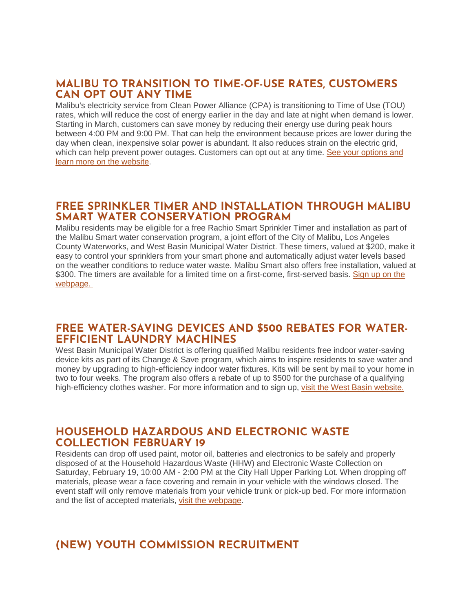### **MALIBU TO TRANSITION TO TIME-OF-USE RATES, CUSTOMERS CAN OPT OUT ANY TIME**

Malibu's electricity service from Clean Power Alliance (CPA) is transitioning to Time of Use (TOU) rates, which will reduce the cost of energy earlier in the day and late at night when demand is lower. Starting in March, customers can save money by reducing their energy use during peak hours between 4:00 PM and 9:00 PM. That can help the environment because prices are lower during the day when clean, inexpensive solar power is abundant. It also reduces strain on the electric grid, which can help prevent power outages. Customers can opt out at any time. See your options and [learn more on the website.](http://cleanpoweralliance.org/TimeMatters)

### **FREE SPRINKLER TIMER AND INSTALLATION THROUGH MALIBU SMART WATER CONSERVATION PROGRAM**

Malibu residents may be eligible for a free Rachio Smart Sprinkler Timer and installation as part of the Malibu Smart water conservation program, a joint effort of the City of Malibu, Los Angeles County Waterworks, and West Basin Municipal Water District. These timers, valued at \$200, make it easy to control your sprinklers from your smart phone and automatically adjust water levels based on the weather conditions to reduce water waste. Malibu Smart also offers free installation, valued at \$300. The timers are available for a limited time on a first-come, first-served basis. Sign up on the [webpage.](https://1num06zo47s.typeform.com/to/TA28QGIC)

### **FREE WATER-SAVING DEVICES AND \$500 REBATES FOR WATER-EFFICIENT LAUNDRY MACHINES**

West Basin Municipal Water District is offering qualified Malibu residents free indoor water-saving device kits as part of its Change & Save program, which aims to inspire residents to save water and money by upgrading to high-efficiency indoor water fixtures. Kits will be sent by mail to your home in two to four weeks. The program also offers a rebate of up to \$500 for the purchase of a qualifying high-efficiency clothes washer. For more information and to sign up, [visit the West Basin website.](https://www.westbasin.org/conservation/conservation-programs/change-and-save/)

#### **HOUSEHOLD HAZARDOUS AND ELECTRONIC WASTE COLLECTION FEBRUARY 19**

Residents can drop off used paint, motor oil, batteries and electronics to be safely and properly disposed of at the Household Hazardous Waste (HHW) and Electronic Waste Collection on Saturday, February 19, 10:00 AM - 2:00 PM at the City Hall Upper Parking Lot. When dropping off materials, please wear a face covering and remain in your vehicle with the windows closed. The event staff will only remove materials from your vehicle trunk or pick-up bed. For more information and the list of accepted materials, [visit the webpage.](https://www.malibucity.org/Calendar.aspx?EID=6102)

# **(NEW) YOUTH COMMISSION RECRUITMENT**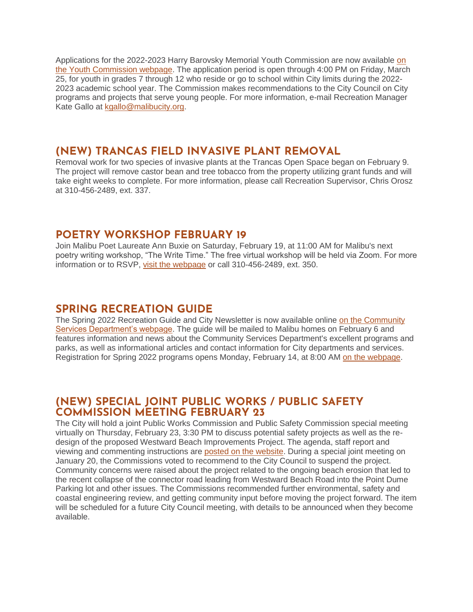Applications for the 2022-2023 Harry Barovsky Memorial Youth Commission are now available [on](https://www.malibucity.org/178/Harry-Barovsky-Memorial-Youth-Commission)  [the Youth Commission webpage.](https://www.malibucity.org/178/Harry-Barovsky-Memorial-Youth-Commission) The application period is open through 4:00 PM on Friday, March 25, for youth in grades 7 through 12 who reside or go to school within City limits during the 2022- 2023 academic school year. The Commission makes recommendations to the City Council on City programs and projects that serve young people. For more information, e-mail Recreation Manager Kate Gallo at [kgallo@malibucity.org.](mailto:kgallo@malibucity.org)

### **(NEW) TRANCAS FIELD INVASIVE PLANT REMOVAL**

Removal work for two species of invasive plants at the Trancas Open Space began on February 9. The project will remove castor bean and tree tobacco from the property utilizing grant funds and will take eight weeks to complete. For more information, please call Recreation Supervisor, Chris Orosz at 310-456-2489, ext. 337.

### **POETRY WORKSHOP FEBRUARY 19**

Join Malibu Poet Laureate Ann Buxie on Saturday, February 19, at 11:00 AM for Malibu's next poetry writing workshop, "The Write Time." The free virtual workshop will be held via Zoom. For more information or to RSVP, [visit the webpage](http://malibucity.org/poetry) or call 310-456-2489, ext. 350.

### **SPRING RECREATION GUIDE**

The Spring 2022 Recreation Guide and City Newsletter is now available online [on the Community](http://malibucity.org/CommunityServices)  [Services Department's webpage.](http://malibucity.org/CommunityServices) The guide will be mailed to Malibu homes on February 6 and features information and news about the Community Services Department's excellent programs and parks, as well as informational articles and contact information for City departments and services. Registration for Spring 2022 programs opens Monday, February 14, at 8:00 AM [on the webpage.](http://malibucity.org/register)

### **(NEW) SPECIAL JOINT PUBLIC WORKS / PUBLIC SAFETY COMMISSION MEETING FEBRUARY 23**

The City will hold a joint Public Works Commission and Public Safety Commission special meeting virtually on Thursday, February 23, 3:30 PM to discuss potential safety projects as well as the redesign of the proposed Westward Beach Improvements Project. The agenda, staff report and viewing and commenting instructions are [posted on the website.](https://www.malibucity.org/agendacenter) During a special joint meeting on January 20, the Commissions voted to recommend to the City Council to suspend the project. Community concerns were raised about the project related to the ongoing beach erosion that led to the recent collapse of the connector road leading from Westward Beach Road into the Point Dume Parking lot and other issues. The Commissions recommended further environmental, safety and coastal engineering review, and getting community input before moving the project forward. The item will be scheduled for a future City Council meeting, with details to be announced when they become available.